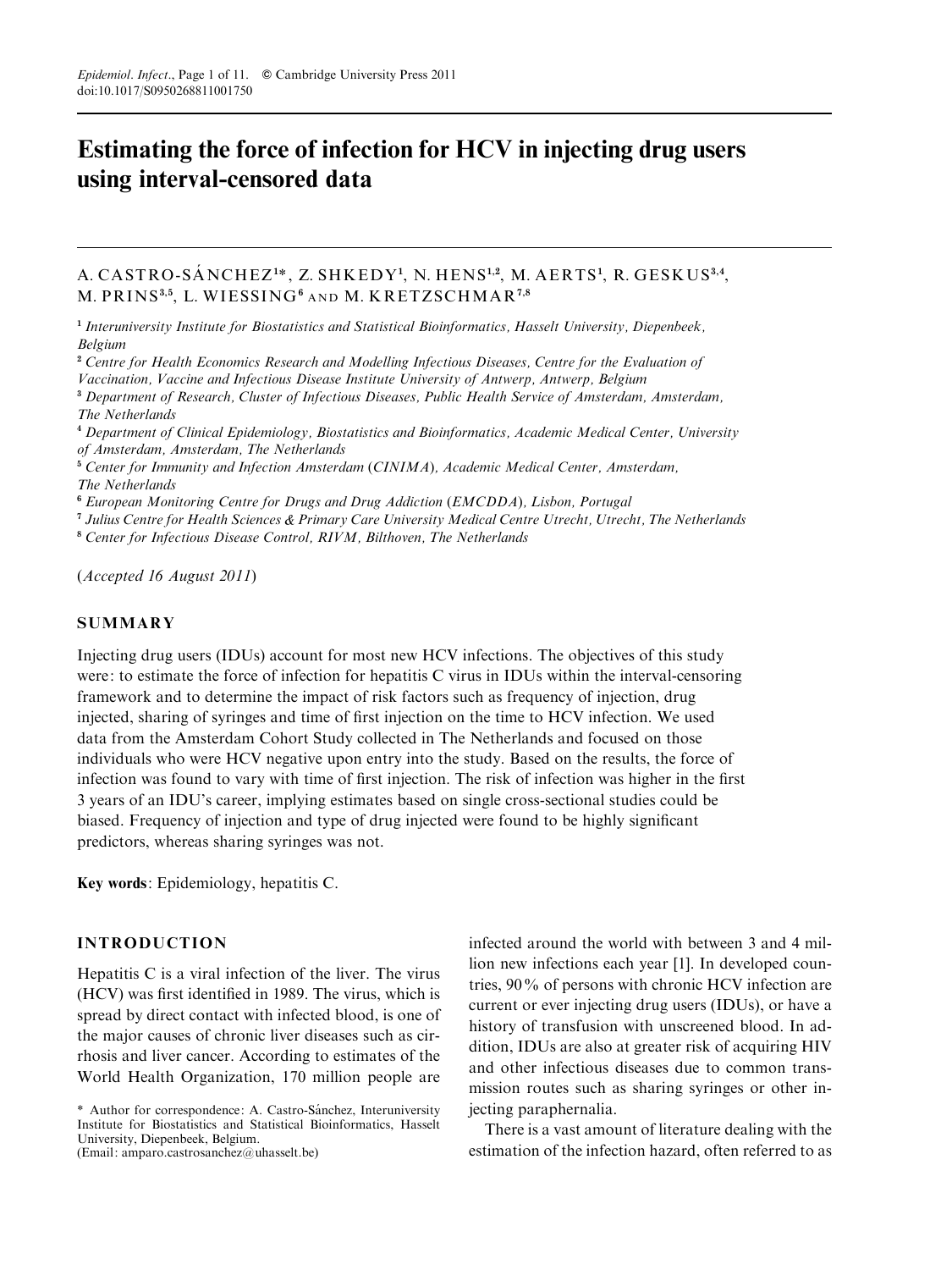# Estimating the force of infection for HCV in injecting drug users using interval-censored data

# A. CASTRO-SÁNCHEZ<sup>1\*</sup>, Z. SHKEDY<sup>1</sup>, N. HENS<sup>1,2</sup>, M. AERTS<sup>1</sup>, R. GESKUS<sup>3,4</sup>, M. PRINS<sup>3,5</sup>, L. WIESSING<sup>6</sup> AND M. KRETZSCHMAR<sup>7,8</sup>

<sup>1</sup> Interuniversity Institute for Biostatistics and Statistical Bioinformatics, Hasselt University, Diepenbeek, Belgium

<sup>2</sup> Centre for Health Economics Research and Modelling Infectious Diseases, Centre for the Evaluation of

Vaccination, Vaccine and Infectious Disease Institute University of Antwerp, Antwerp, Belgium

<sup>3</sup> Department of Research, Cluster of Infectious Diseases, Public Health Service of Amsterdam, Amsterdam, The Netherlands

<sup>4</sup> Department of Clinical Epidemiology, Biostatistics and Bioinformatics, Academic Medical Center, University of Amsterdam, Amsterdam, The Netherlands

<sup>5</sup> Center for Immunity and Infection Amsterdam (CINIMA), Academic Medical Center, Amsterdam, The Netherlands

<sup>6</sup> European Monitoring Centre for Drugs and Drug Addiction (EMCDDA), Lisbon, Portugal

<sup>7</sup> Julius Centre for Health Sciences & Primary Care University Medical Centre Utrecht, Utrecht, The Netherlands

<sup>8</sup> Center for Infectious Disease Control, RIVM, Bilthoven, The Netherlands

(Accepted 16 August 2011)

## **SUMMARY**

Injecting drug users (IDUs) account for most new HCV infections. The objectives of this study were: to estimate the force of infection for hepatitis C virus in IDUs within the interval-censoring framework and to determine the impact of risk factors such as frequency of injection, drug injected, sharing of syringes and time of first injection on the time to HCV infection. We used data from the Amsterdam Cohort Study collected in The Netherlands and focused on those individuals who were HCV negative upon entry into the study. Based on the results, the force of infection was found to vary with time of first injection. The risk of infection was higher in the first 3 years of an IDU's career, implying estimates based on single cross-sectional studies could be biased. Frequency of injection and type of drug injected were found to be highly significant predictors, whereas sharing syringes was not.

Key words: Epidemiology, hepatitis C.

### INTRODUCTION

Hepatitis C is a viral infection of the liver. The virus (HCV) was first identified in 1989. The virus, which is spread by direct contact with infected blood, is one of the major causes of chronic liver diseases such as cirrhosis and liver cancer. According to estimates of the World Health Organization, 170 million people are

\* Author for correspondence: A. Castro-Sa´nchez, Interuniversity Institute for Biostatistics and Statistical Bioinformatics, Hasselt University, Diepenbeek, Belgium. (Email: amparo.castrosanchez@uhasselt.be)

infected around the world with between 3 and 4 million new infections each year [1]. In developed countries, 90% of persons with chronic HCV infection are current or ever injecting drug users (IDUs), or have a history of transfusion with unscreened blood. In addition, IDUs are also at greater risk of acquiring HIV and other infectious diseases due to common transmission routes such as sharing syringes or other injecting paraphernalia.

There is a vast amount of literature dealing with the estimation of the infection hazard, often referred to as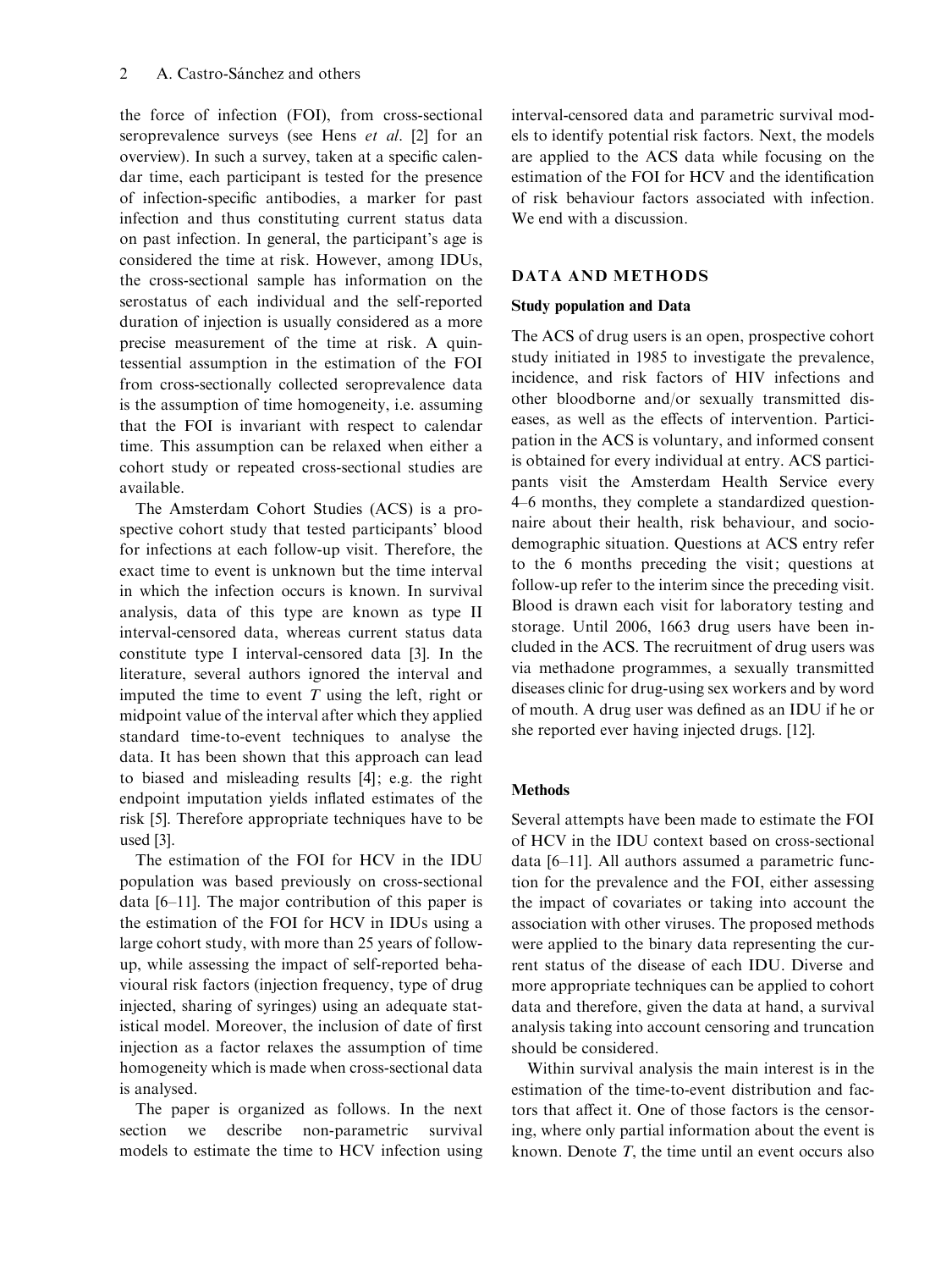the force of infection (FOI), from cross-sectional seroprevalence surveys (see Hens et al. [2] for an overview). In such a survey, taken at a specific calendar time, each participant is tested for the presence of infection-specific antibodies, a marker for past infection and thus constituting current status data on past infection. In general, the participant's age is considered the time at risk. However, among IDUs, the cross-sectional sample has information on the serostatus of each individual and the self-reported duration of injection is usually considered as a more precise measurement of the time at risk. A quintessential assumption in the estimation of the FOI from cross-sectionally collected seroprevalence data is the assumption of time homogeneity, i.e. assuming that the FOI is invariant with respect to calendar time. This assumption can be relaxed when either a cohort study or repeated cross-sectional studies are available.

The Amsterdam Cohort Studies (ACS) is a prospective cohort study that tested participants' blood for infections at each follow-up visit. Therefore, the exact time to event is unknown but the time interval in which the infection occurs is known. In survival analysis, data of this type are known as type II interval-censored data, whereas current status data constitute type I interval-censored data [3]. In the literature, several authors ignored the interval and imputed the time to event  $T$  using the left, right or midpoint value of the interval after which they applied standard time-to-event techniques to analyse the data. It has been shown that this approach can lead to biased and misleading results [4]; e.g. the right endpoint imputation yields inflated estimates of the risk [5]. Therefore appropriate techniques have to be used [3].

The estimation of the FOI for HCV in the IDU population was based previously on cross-sectional data [6–11]. The major contribution of this paper is the estimation of the FOI for HCV in IDUs using a large cohort study, with more than 25 years of followup, while assessing the impact of self-reported behavioural risk factors (injection frequency, type of drug injected, sharing of syringes) using an adequate statistical model. Moreover, the inclusion of date of first injection as a factor relaxes the assumption of time homogeneity which is made when cross-sectional data is analysed.

The paper is organized as follows. In the next section we describe non-parametric survival models to estimate the time to HCV infection using interval-censored data and parametric survival models to identify potential risk factors. Next, the models are applied to the ACS data while focusing on the estimation of the FOI for HCV and the identification of risk behaviour factors associated with infection. We end with a discussion.

#### DATA AND METHODS

#### Study population and Data

The ACS of drug users is an open, prospective cohort study initiated in 1985 to investigate the prevalence, incidence, and risk factors of HIV infections and other bloodborne and/or sexually transmitted diseases, as well as the effects of intervention. Participation in the ACS is voluntary, and informed consent is obtained for every individual at entry. ACS participants visit the Amsterdam Health Service every 4–6 months, they complete a standardized questionnaire about their health, risk behaviour, and sociodemographic situation. Questions at ACS entry refer to the 6 months preceding the visit; questions at follow-up refer to the interim since the preceding visit. Blood is drawn each visit for laboratory testing and storage. Until 2006, 1663 drug users have been included in the ACS. The recruitment of drug users was via methadone programmes, a sexually transmitted diseases clinic for drug-using sex workers and by word of mouth. A drug user was defined as an IDU if he or she reported ever having injected drugs. [12].

## Methods

Several attempts have been made to estimate the FOI of HCV in the IDU context based on cross-sectional data [6–11]. All authors assumed a parametric function for the prevalence and the FOI, either assessing the impact of covariates or taking into account the association with other viruses. The proposed methods were applied to the binary data representing the current status of the disease of each IDU. Diverse and more appropriate techniques can be applied to cohort data and therefore, given the data at hand, a survival analysis taking into account censoring and truncation should be considered.

Within survival analysis the main interest is in the estimation of the time-to-event distribution and factors that affect it. One of those factors is the censoring, where only partial information about the event is known. Denote  $T$ , the time until an event occurs also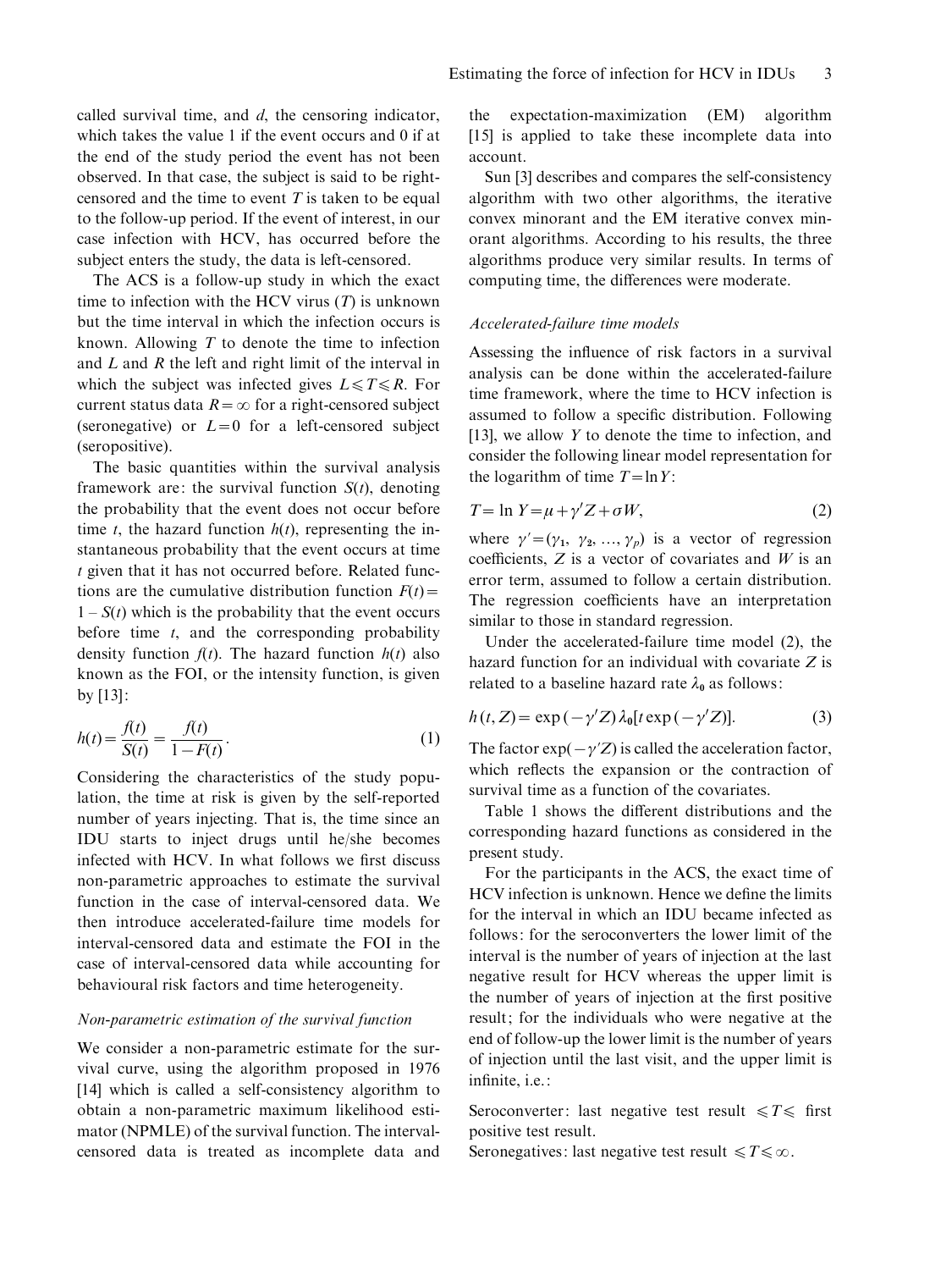called survival time, and d, the censoring indicator, which takes the value 1 if the event occurs and 0 if at the end of the study period the event has not been observed. In that case, the subject is said to be rightcensored and the time to event  $T$  is taken to be equal to the follow-up period. If the event of interest, in our case infection with HCV, has occurred before the subject enters the study, the data is left-censored.

The ACS is a follow-up study in which the exact time to infection with the HCV virus  $(T)$  is unknown but the time interval in which the infection occurs is known. Allowing  $T$  to denote the time to infection and L and R the left and right limit of the interval in which the subject was infected gives  $L \le T \le R$ . For current status data  $R = \infty$  for a right-censored subject (seronegative) or  $L=0$  for a left-censored subject (seropositive).

The basic quantities within the survival analysis framework are: the survival function  $S(t)$ , denoting the probability that the event does not occur before time t, the hazard function  $h(t)$ , representing the instantaneous probability that the event occurs at time t given that it has not occurred before. Related functions are the cumulative distribution function  $F(t)$  =  $1 - S(t)$  which is the probability that the event occurs before time  $t$ , and the corresponding probability density function  $f(t)$ . The hazard function  $h(t)$  also known as the FOI, or the intensity function, is given by [13]:

$$
h(t) = \frac{f(t)}{S(t)} = \frac{f(t)}{1 - F(t)}.
$$
 (1)

Considering the characteristics of the study population, the time at risk is given by the self-reported number of years injecting. That is, the time since an IDU starts to inject drugs until he/she becomes infected with HCV. In what follows we first discuss non-parametric approaches to estimate the survival function in the case of interval-censored data. We then introduce accelerated-failure time models for interval-censored data and estimate the FOI in the case of interval-censored data while accounting for behavioural risk factors and time heterogeneity.

#### Non-parametric estimation of the survival function

We consider a non-parametric estimate for the survival curve, using the algorithm proposed in 1976 [14] which is called a self-consistency algorithm to obtain a non-parametric maximum likelihood estimator (NPMLE) of the survival function. The intervalcensored data is treated as incomplete data and

the expectation-maximization (EM) algorithm [15] is applied to take these incomplete data into account.

Sun [3] describes and compares the self-consistency algorithm with two other algorithms, the iterative convex minorant and the EM iterative convex minorant algorithms. According to his results, the three algorithms produce very similar results. In terms of computing time, the differences were moderate.

#### Accelerated-failure time models

Assessing the influence of risk factors in a survival analysis can be done within the accelerated-failure time framework, where the time to HCV infection is assumed to follow a specific distribution. Following [13], we allow  $Y$  to denote the time to infection, and consider the following linear model representation for the logarithm of time  $T=\ln Y$ :

$$
T = \ln Y = \mu + \gamma' Z + \sigma W,\tag{2}
$$

where  $\gamma'=(\gamma_1, \gamma_2, ..., \gamma_p)$  is a vector of regression coefficients,  $Z$  is a vector of covariates and  $W$  is an error term, assumed to follow a certain distribution. The regression coefficients have an interpretation similar to those in standard regression.

Under the accelerated-failure time model (2), the hazard function for an individual with covariate  $Z$  is related to a baseline hazard rate  $\lambda_0$  as follows:

$$
h(t, Z) = \exp(-\gamma' Z) \lambda_0 [t \exp(-\gamma' Z)].
$$
 (3)

The factor  $\exp(-\gamma Z)$  is called the acceleration factor, which reflects the expansion or the contraction of survival time as a function of the covariates.

Table 1 shows the different distributions and the corresponding hazard functions as considered in the present study.

For the participants in the ACS, the exact time of HCV infection is unknown. Hence we define the limits for the interval in which an IDU became infected as follows: for the seroconverters the lower limit of the interval is the number of years of injection at the last negative result for HCV whereas the upper limit is the number of years of injection at the first positive result; for the individuals who were negative at the end of follow-up the lower limit is the number of years of injection until the last visit, and the upper limit is infinite, i.e.:

Seroconverter: last negative test result  $\leq T \leq$  first positive test result.

Seronegatives: last negative test result  $\leq T \leq \infty$ .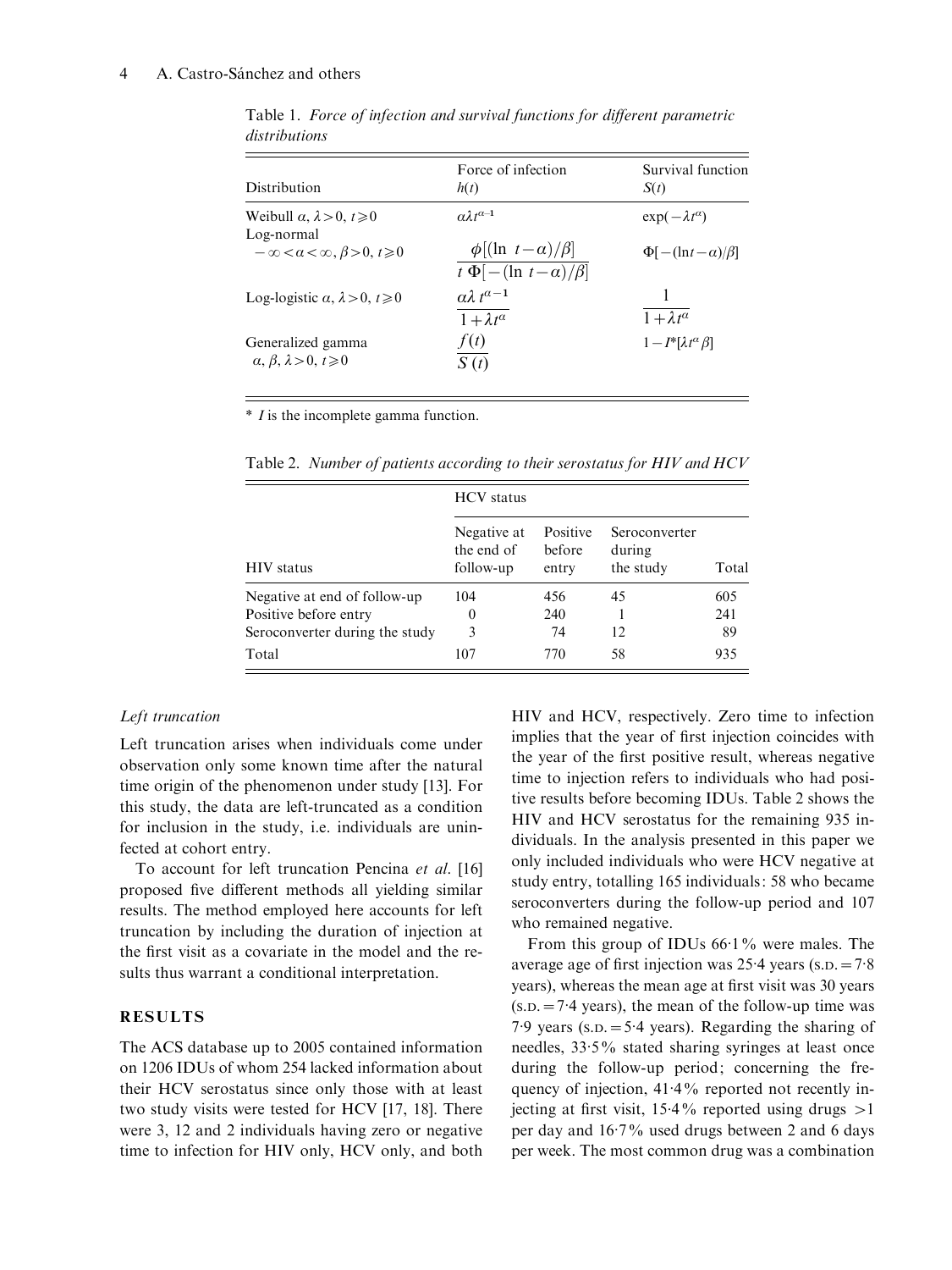#### 4 A. Castro-Sánchez and others

| Distribution                                                   | Force of infection<br>h(t)                                         | Survival function<br>S(t)            |
|----------------------------------------------------------------|--------------------------------------------------------------------|--------------------------------------|
| Weibull $\alpha$ , $\lambda > 0$ , $t \ge 0$                   | $a\lambda t^{\alpha-1}$                                            | $\exp(-\lambda t^{\alpha})$          |
| Log-normal<br>$-\infty < \alpha < \infty, \beta > 0, t \geq 0$ | $\phi$ [(ln t – a)/ $\beta$ ]<br>$t \Phi[-(\ln t - \alpha)/\beta]$ | $\Phi[-(\ln t - \alpha)/\beta]$      |
| Log-logistic $\alpha$ , $\lambda > 0$ , $t \ge 0$              | $\alpha\lambda t^{a-1}$<br>$1 + \lambda t^{\alpha}$                | $1 + \lambda t^{\overline{a}}$       |
| Generalized gamma<br>$\alpha, \beta, \lambda > 0, t \geq 0$    | f(t)<br>S(t)                                                       | $1 - I^* [\lambda t^{\alpha} \beta]$ |

Table 1. Force of infection and survival functions for different parametric distributions

\* I is the incomplete gamma function.

| <b>HIV</b> status              | <b>HCV</b> status                      |                             |                                      |       |  |  |
|--------------------------------|----------------------------------------|-----------------------------|--------------------------------------|-------|--|--|
|                                | Negative at<br>the end of<br>follow-up | Positive<br>before<br>entry | Seroconverter<br>during<br>the study | Total |  |  |
| Negative at end of follow-up   | 104                                    | 456                         | 45                                   | 605   |  |  |
| Positive before entry          | $\theta$                               | 240                         |                                      | 241   |  |  |
| Seroconverter during the study | 3                                      | 74                          | 12.                                  | 89    |  |  |
| Total                          | 107                                    | 770                         | 58                                   | 935   |  |  |

Table 2. Number of patients according to their serostatus for HIV and HCV

## Left truncation

Left truncation arises when individuals come under observation only some known time after the natural time origin of the phenomenon under study [13]. For this study, the data are left-truncated as a condition for inclusion in the study, i.e. individuals are uninfected at cohort entry.

To account for left truncation Pencina et al. [16] proposed five different methods all yielding similar results. The method employed here accounts for left truncation by including the duration of injection at the first visit as a covariate in the model and the results thus warrant a conditional interpretation.

# RESULTS

The ACS database up to 2005 contained information on 1206 IDUs of whom 254 lacked information about their HCV serostatus since only those with at least two study visits were tested for HCV [17, 18]. There were 3, 12 and 2 individuals having zero or negative time to infection for HIV only, HCV only, and both HIV and HCV, respectively. Zero time to infection implies that the year of first injection coincides with the year of the first positive result, whereas negative time to injection refers to individuals who had positive results before becoming IDUs. Table 2 shows the HIV and HCV serostatus for the remaining 935 individuals. In the analysis presented in this paper we only included individuals who were HCV negative at study entry, totalling 165 individuals: 58 who became seroconverters during the follow-up period and 107 who remained negative.

From this group of IDUs 66.1% were males. The average age of first injection was  $25.4$  years (s.p. =  $7.8$ ) years), whereas the mean age at first visit was 30 years  $(s.D. = 7.4 \text{ years})$ , the mean of the follow-up time was 7.9 years ( $s.D. = 5.4$  years). Regarding the sharing of needles, 33. 5% stated sharing syringes at least once during the follow-up period; concerning the frequency of injection,  $41.4\%$  reported not recently injecting at first visit,  $15.4\%$  reported using drugs  $>1$ per day and 16.7% used drugs between 2 and 6 days per week. The most common drug was a combination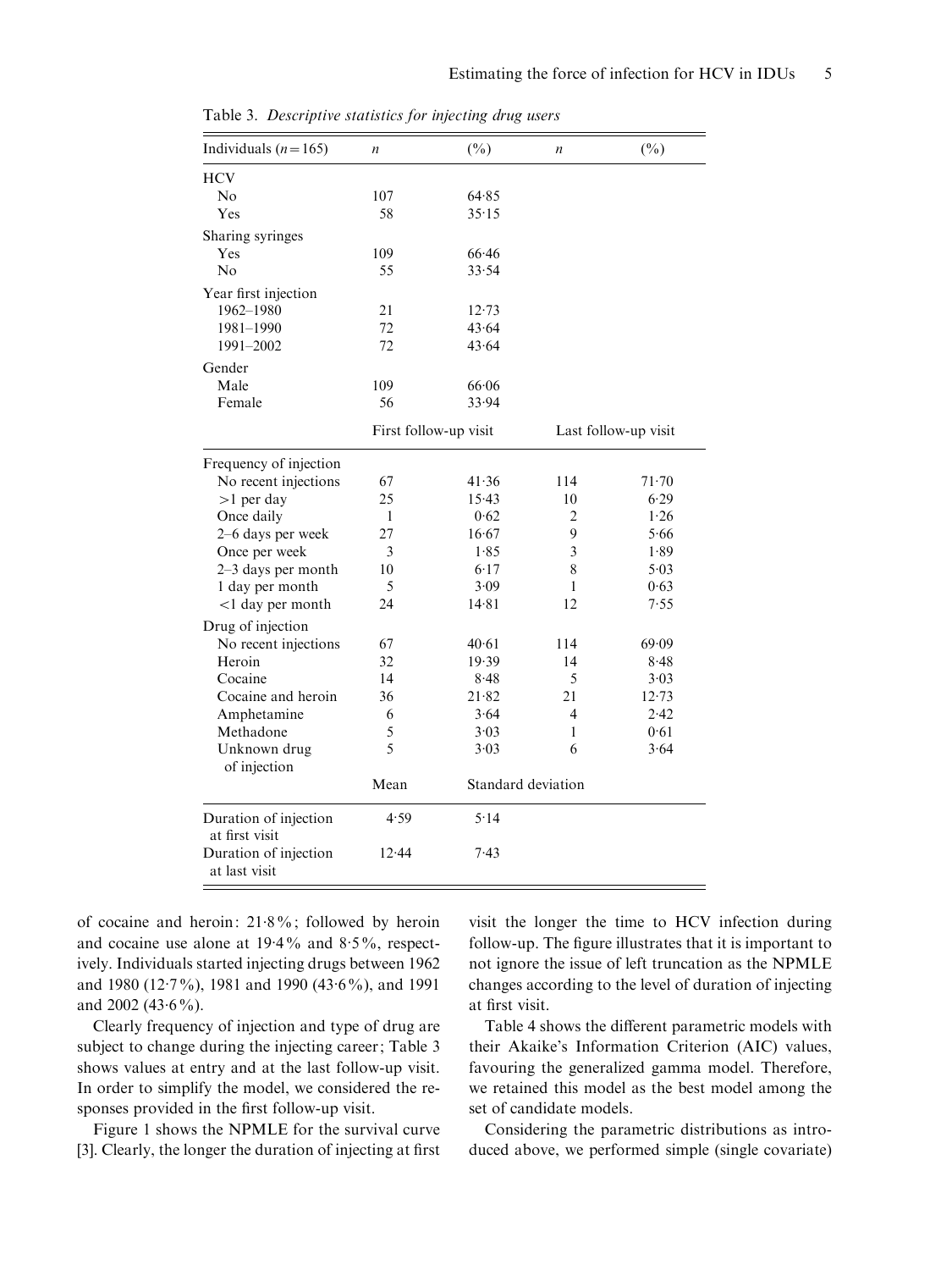| Individuals $(n=165)$                   | $\boldsymbol{n}$      | $(\%)$             | $\boldsymbol{n}$     | $(\%)$ |  |
|-----------------------------------------|-----------------------|--------------------|----------------------|--------|--|
| <b>HCV</b>                              |                       |                    |                      |        |  |
| No                                      | 107                   | 64.85              |                      |        |  |
| Yes                                     | 58                    | 35.15              |                      |        |  |
| Sharing syringes                        |                       |                    |                      |        |  |
| Yes                                     | 109                   | 66.46              |                      |        |  |
| No                                      | 55                    | 33.54              |                      |        |  |
| Year first injection                    |                       |                    |                      |        |  |
| 1962-1980                               | 21                    | 12.73              |                      |        |  |
| 1981-1990                               | 72                    | 43.64              |                      |        |  |
| 1991-2002                               | 72                    | 43.64              |                      |        |  |
| Gender                                  |                       |                    |                      |        |  |
| Male                                    | 109                   | 66.06              |                      |        |  |
| Female                                  | 56                    | 33.94              |                      |        |  |
|                                         | First follow-up visit |                    | Last follow-up visit |        |  |
| Frequency of injection                  |                       |                    |                      |        |  |
| No recent injections                    | 67                    | 41.36              | 114                  | 71.70  |  |
| $>1$ per day                            | 25                    | 15.43              | 10                   | 6.29   |  |
| Once daily                              | $\mathbf{1}$          | 0.62               | 2                    | 1.26   |  |
| 2-6 days per week                       | 27                    | 16.67              | 9                    | 5.66   |  |
| Once per week                           | 3                     | 1.85               | 3                    | 1.89   |  |
| 2-3 days per month                      | 10                    | 6.17               | 8                    | 5.03   |  |
| 1 day per month                         | 5                     | 3.09               | 1                    | 0.63   |  |
| <1 day per month                        | 24                    | 14.81              | 12                   | 7.55   |  |
| Drug of injection                       |                       |                    |                      |        |  |
| No recent injections                    | 67                    | 40.61              | 114                  | 69.09  |  |
| Heroin                                  | 32                    | 19.39              | 14                   | 8.48   |  |
| Cocaine                                 | 14                    | $8 - 48$           | 5                    | 3.03   |  |
| Cocaine and heroin                      | 36                    | 21.82              | 21                   | 12.73  |  |
| Amphetamine                             | 6                     | 3.64               | 4                    | 2.42   |  |
| Methadone                               | 5                     | 3.03               | 1                    | 0.61   |  |
| Unknown drug<br>of injection            | 5                     | 3.03               | 6                    | 3.64   |  |
|                                         | Mean                  | Standard deviation |                      |        |  |
| Duration of injection<br>at first visit | 4.59                  | 5.14               |                      |        |  |
| Duration of injection<br>at last visit  | 12.44                 | 7.43               |                      |        |  |

Table 3. Descriptive statistics for injecting drug users

of cocaine and heroin: 21. 8%; followed by heroin and cocaine use alone at  $19.4\%$  and  $8.5\%$ , respectively. Individuals started injecting drugs between 1962 and 1980 (12.7%), 1981 and 1990 (43.6%), and 1991 and  $2002(43.6\%)$ .

Clearly frequency of injection and type of drug are subject to change during the injecting career; Table 3 shows values at entry and at the last follow-up visit. In order to simplify the model, we considered the responses provided in the first follow-up visit.

Figure 1 shows the NPMLE for the survival curve [3]. Clearly, the longer the duration of injecting at first visit the longer the time to HCV infection during follow-up. The figure illustrates that it is important to not ignore the issue of left truncation as the NPMLE changes according to the level of duration of injecting at first visit.

Table 4 shows the different parametric models with their Akaike's Information Criterion (AIC) values, favouring the generalized gamma model. Therefore, we retained this model as the best model among the set of candidate models.

Considering the parametric distributions as introduced above, we performed simple (single covariate)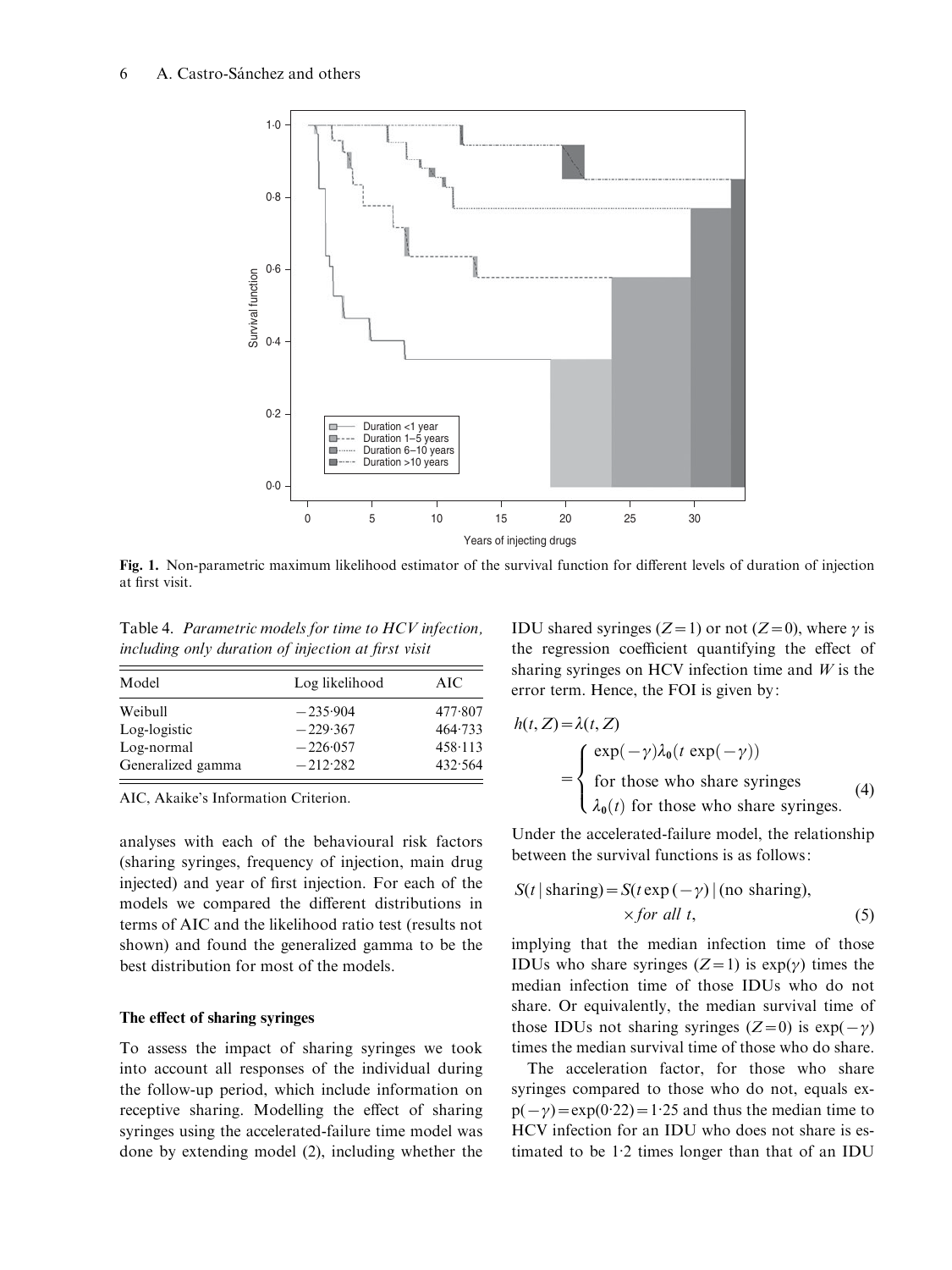

Fig. 1. Non-parametric maximum likelihood estimator of the survival function for different levels of duration of injection at first visit.

Table 4. Parametric models for time to HCV infection, including only duration of injection at first visit

| Model             | Log likelihood | AIC             |
|-------------------|----------------|-----------------|
| Weibull           | $-235.904$     | 477.807         |
| Log-logistic      | $-229.367$     | 464.733         |
| Log-normal        | $-226.057$     | $458 \cdot 113$ |
| Generalized gamma | $-212.282$     | 432.564         |

AIC, Akaike's Information Criterion.

analyses with each of the behavioural risk factors (sharing syringes, frequency of injection, main drug injected) and year of first injection. For each of the models we compared the different distributions in terms of AIC and the likelihood ratio test (results not shown) and found the generalized gamma to be the best distribution for most of the models.

#### The effect of sharing syringes

To assess the impact of sharing syringes we took into account all responses of the individual during the follow-up period, which include information on receptive sharing. Modelling the effect of sharing syringes using the accelerated-failure time model was done by extending model (2), including whether the

IDU shared syringes (Z=1) or not (Z=0), where  $\gamma$  is the regression coefficient quantifying the effect of sharing syringes on HCV infection time and  $W$  is the error term. Hence, the FOI is given by:

$$
h(t, Z) = \lambda(t, Z)
$$
  
= 
$$
\begin{cases} \exp(-\gamma)\lambda_0(t \exp(-\gamma)) \\ \text{for those who share syringes \\ \lambda_0(t) \text{ for those who share syringes.} \end{cases}
$$
 (4)

Under the accelerated-failure model, the relationship between the survival functions is as follows:

$$
S(t | \text{ sharing}) = S(t \exp(-\gamma) | (\text{no sharing}),
$$
  
×*for all t*, (5)

implying that the median infection time of those IDUs who share syringes  $(Z=1)$  is  $exp(y)$  times the median infection time of those IDUs who do not share. Or equivalently, the median survival time of those IDUs not sharing syringes  $(Z=0)$  is  $exp(-\gamma)$ times the median survival time of those who do share.

The acceleration factor, for those who share syringes compared to those who do not, equals ex $p(-\gamma) = \exp(0.22) = 1.25$  and thus the median time to HCV infection for an IDU who does not share is estimated to be 1. 2 times longer than that of an IDU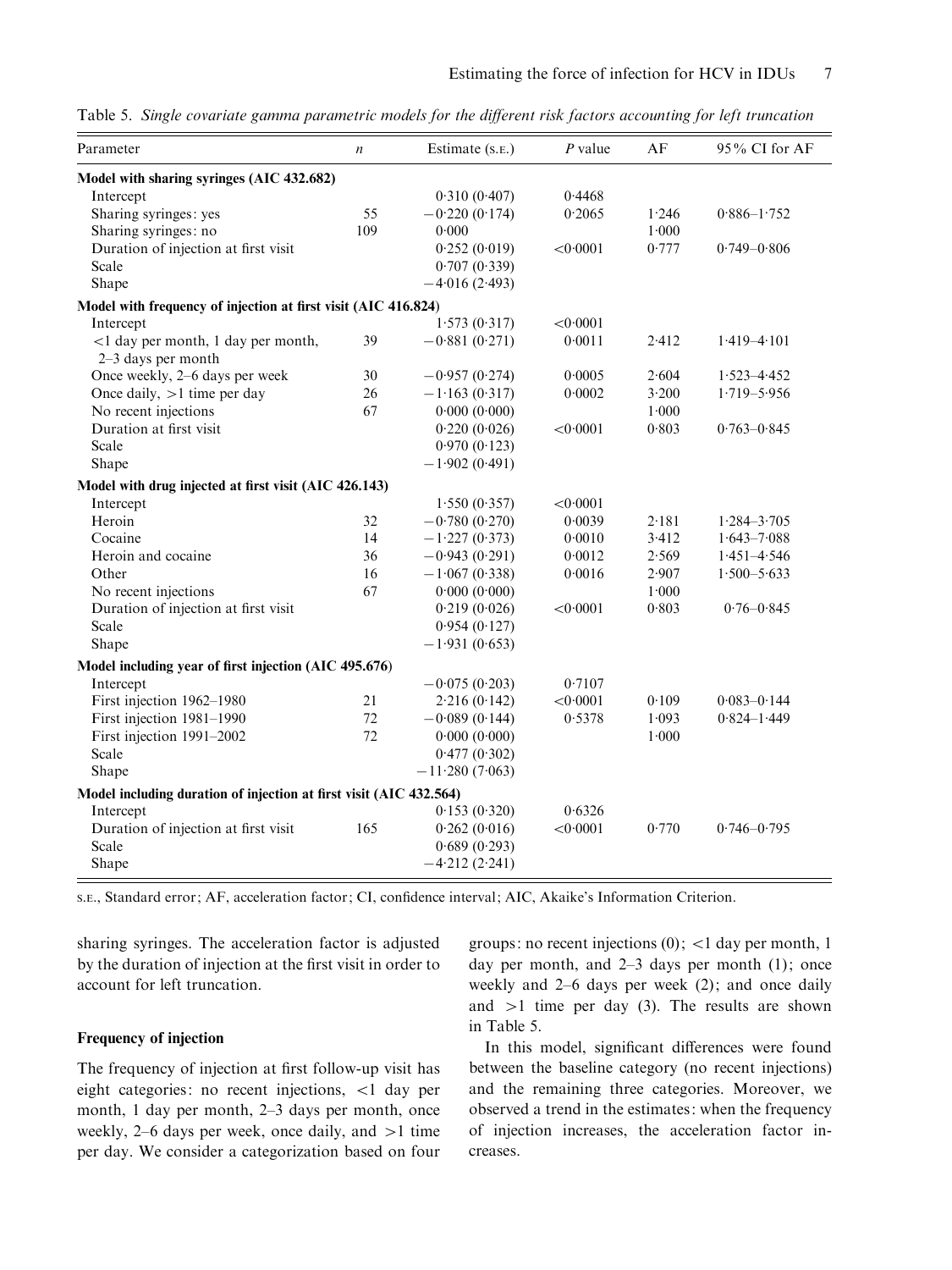Table 5. Single covariate gamma parametric models for the different risk factors accounting for left truncation

| Parameter                                                          | $\boldsymbol{n}$ | Estimate (s.e.)  | $P$ value | AF    | 95% CI for AF   |  |  |
|--------------------------------------------------------------------|------------------|------------------|-----------|-------|-----------------|--|--|
| Model with sharing syringes (AIC 432.682)                          |                  |                  |           |       |                 |  |  |
| Intercept                                                          |                  | 0.310(0.407)     | 0.4468    |       |                 |  |  |
| Sharing syringes: yes                                              | 55               | $-0.220(0.174)$  | 0.2065    | 1.246 | $0.886 - 1.752$ |  |  |
| Sharing syringes: no                                               | 109              | 0.000            |           | 1.000 |                 |  |  |
| Duration of injection at first visit                               |                  | 0.252(0.019)     | < 0.0001  | 0.777 | $0.749 - 0.806$ |  |  |
| Scale                                                              |                  | 0.707(0.339)     |           |       |                 |  |  |
| Shape                                                              |                  | $-4.016(2.493)$  |           |       |                 |  |  |
| Model with frequency of injection at first visit (AIC 416.824)     |                  |                  |           |       |                 |  |  |
| Intercept                                                          |                  | 1.573(0.317)     | < 0.0001  |       |                 |  |  |
| <1 day per month, 1 day per month,                                 | 39               | $-0.881(0.271)$  | 0.0011    | 2.412 | $1.419 - 4.101$ |  |  |
| 2-3 days per month                                                 |                  |                  |           |       |                 |  |  |
| Once weekly, 2–6 days per week                                     | 30               | $-0.957(0.274)$  | 0.0005    | 2.604 | $1.523 - 4.452$ |  |  |
| Once daily, $>1$ time per day                                      | 26               | $-1.163(0.317)$  | 0.0002    | 3.200 | $1.719 - 5.956$ |  |  |
| No recent injections                                               | 67               | 0.000(0.000)     |           | 1.000 |                 |  |  |
| Duration at first visit                                            |                  | 0.220(0.026)     | < 0.0001  | 0.803 | $0.763 - 0.845$ |  |  |
| Scale                                                              |                  | 0.970(0.123)     |           |       |                 |  |  |
| Shape                                                              |                  | $-1.902(0.491)$  |           |       |                 |  |  |
| Model with drug injected at first visit (AIC 426.143)              |                  |                  |           |       |                 |  |  |
| Intercept                                                          |                  | 1.550(0.357)     | < 0.0001  |       |                 |  |  |
| Heroin                                                             | 32               | $-0.780(0.270)$  | 0.0039    | 2.181 | $1.284 - 3.705$ |  |  |
| Cocaine                                                            | 14               | $-1.227(0.373)$  | 0.0010    | 3.412 | $1.643 - 7.088$ |  |  |
| Heroin and cocaine                                                 | 36               | $-0.943(0.291)$  | 0.0012    | 2.569 | $1.451 - 4.546$ |  |  |
| Other                                                              | 16               | $-1.067(0.338)$  | 0.0016    | 2.907 | $1.500 - 5.633$ |  |  |
| No recent injections                                               | 67               | 0.000(0.000)     |           | 1.000 |                 |  |  |
| Duration of injection at first visit                               |                  | 0.219(0.026)     | < 0.0001  | 0.803 | $0.76 - 0.845$  |  |  |
| Scale                                                              |                  | 0.954(0.127)     |           |       |                 |  |  |
| Shape                                                              |                  | $-1.931(0.653)$  |           |       |                 |  |  |
| Model including year of first injection (AIC 495.676)              |                  |                  |           |       |                 |  |  |
| Intercept                                                          |                  | $-0.075(0.203)$  | 0.7107    |       |                 |  |  |
| First injection 1962-1980                                          | 21               | 2.216(0.142)     | < 0.0001  | 0.109 | $0.083 - 0.144$ |  |  |
| First injection 1981-1990                                          | 72               | $-0.089(0.144)$  | 0.5378    | 1.093 | $0.824 - 1.449$ |  |  |
| First injection 1991-2002                                          | 72               | 0.000(0.000)     |           | 1.000 |                 |  |  |
| Scale                                                              |                  | 0.477(0.302)     |           |       |                 |  |  |
| Shape                                                              |                  | $-11.280(7.063)$ |           |       |                 |  |  |
| Model including duration of injection at first visit (AIC 432.564) |                  |                  |           |       |                 |  |  |
| Intercept                                                          |                  | 0.153(0.320)     | 0.6326    |       |                 |  |  |
| Duration of injection at first visit                               | 165              | 0.262(0.016)     | < 0.0001  | 0.770 | $0.746 - 0.795$ |  |  |
| Scale                                                              |                  | 0.689(0.293)     |           |       |                 |  |  |
| Shape                                                              |                  | $-4.212(2.241)$  |           |       |                 |  |  |
|                                                                    |                  |                  |           |       |                 |  |  |

S.E., Standard error; AF, acceleration factor; CI, confidence interval; AIC, Akaike's Information Criterion.

sharing syringes. The acceleration factor is adjusted by the duration of injection at the first visit in order to account for left truncation.

# Frequency of injection

The frequency of injection at first follow-up visit has eight categories: no recent injections, <1 day per month, 1 day per month, 2–3 days per month, once weekly, 2–6 days per week, once daily, and  $>1$  time per day. We consider a categorization based on four groups: no recent injections  $(0)$ ; <1 day per month, 1 day per month, and 2–3 days per month (1); once weekly and 2–6 days per week (2); and once daily and  $>1$  time per day (3). The results are shown in Table 5.

In this model, significant differences were found between the baseline category (no recent injections) and the remaining three categories. Moreover, we observed a trend in the estimates: when the frequency of injection increases, the acceleration factor increases.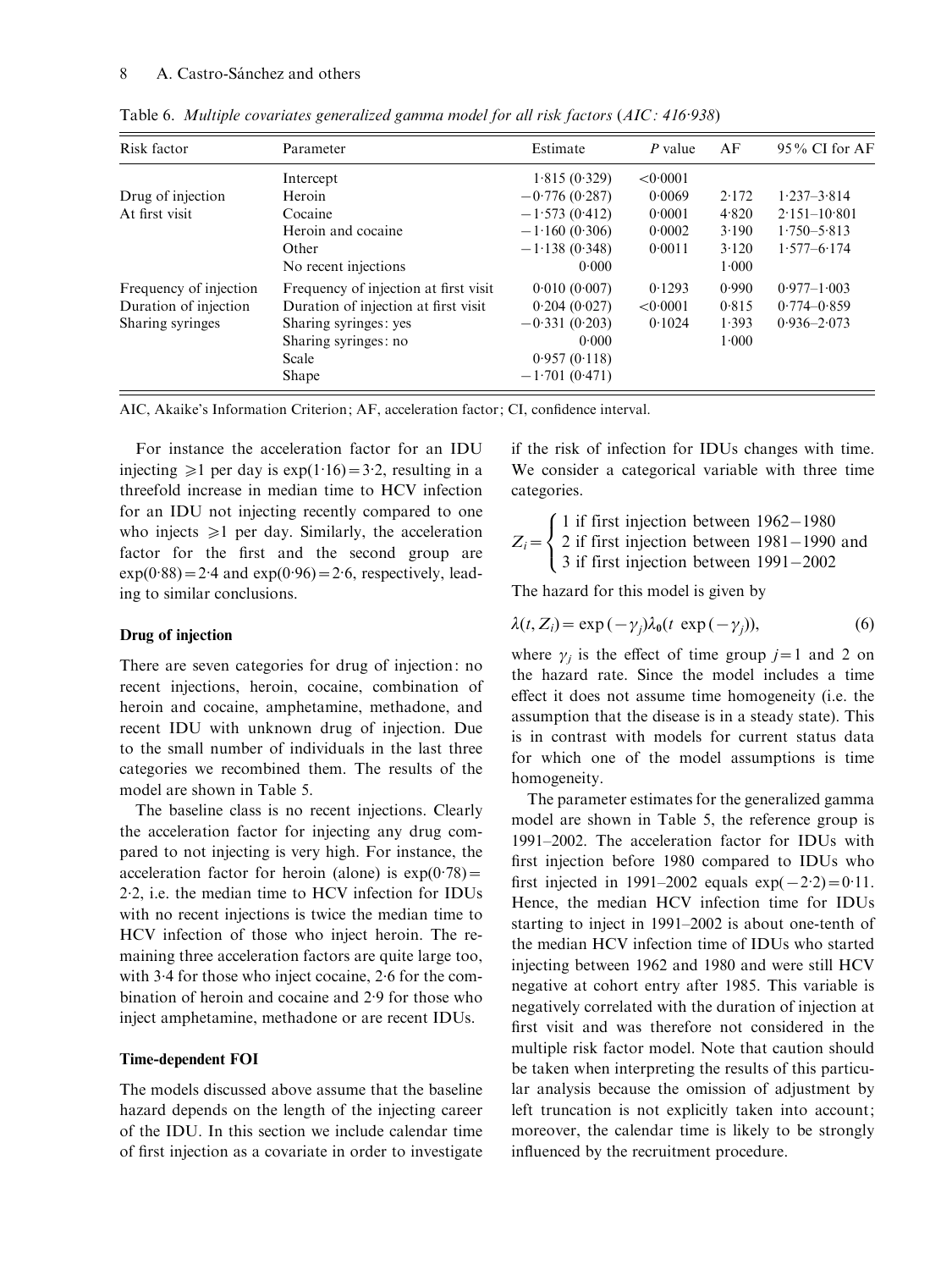| Risk factor            | Parameter                             | Estimate        | P value  | AF    | $95\%$ CI for AF |
|------------------------|---------------------------------------|-----------------|----------|-------|------------------|
|                        | Intercept                             | 1.815(0.329)    | < 0.0001 |       |                  |
| Drug of injection      | Heroin                                | $-0.776(0.287)$ | 0.0069   | 2.172 | $1.237 - 3.814$  |
| At first visit         | Cocaine                               | $-1.573(0.412)$ | 0.0001   | 4.820 | $2.151 - 10.801$ |
| Other                  | Heroin and cocaine                    | $-1.160(0.306)$ | 0.0002   | 3.190 | $1.750 - 5.813$  |
|                        |                                       | $-1.138(0.348)$ | 0.0011   | 3.120 | $1.577 - 6.174$  |
|                        | No recent injections                  | 0.000           |          | 1.000 |                  |
| Frequency of injection | Frequency of injection at first visit | 0.010(0.007)    | 0.1293   | 0.990 | $0.977 - 1.003$  |
| Duration of injection  | Duration of injection at first visit  | 0.204(0.027)    | < 0.0001 | 0.815 | $0.774 - 0.859$  |
| Sharing syringes       | Sharing syringes: yes                 | $-0.331(0.203)$ | 0.1024   | 1.393 | $0.936 - 2.073$  |
|                        | Sharing syringes: no                  | 0.000           |          | 1.000 |                  |
|                        | Scale                                 | 0.957(0.118)    |          |       |                  |
|                        | Shape                                 | $-1.701(0.471)$ |          |       |                  |

Table 6. Multiple covariates generalized gamma model for all risk factors (AIC: 416·938)

AIC, Akaike's Information Criterion; AF, acceleration factor; CI, confidence interval.

For instance the acceleration factor for an IDU injecting  $\geq 1$  per day is exp(1.16) = 3.2, resulting in a threefold increase in median time to HCV infection for an IDU not injecting recently compared to one who injects  $\geq 1$  per day. Similarly, the acceleration factor for the first and the second group are  $exp(0.88) = 2.4$  and  $exp(0.96) = 2.6$ , respectively, leading to similar conclusions.

#### Drug of injection

There are seven categories for drug of injection: no recent injections, heroin, cocaine, combination of heroin and cocaine, amphetamine, methadone, and recent IDU with unknown drug of injection. Due to the small number of individuals in the last three categories we recombined them. The results of the model are shown in Table 5.

The baseline class is no recent injections. Clearly the acceleration factor for injecting any drug compared to not injecting is very high. For instance, the acceleration factor for heroin (alone) is  $exp(0.78)$  = 2. 2, i.e. the median time to HCV infection for IDUs with no recent injections is twice the median time to HCV infection of those who inject heroin. The remaining three acceleration factors are quite large too, with 3.4 for those who inject cocaine, 2.6 for the combination of heroin and cocaine and 2. 9 for those who inject amphetamine, methadone or are recent IDUs.

#### Time-dependent FOI

The models discussed above assume that the baseline hazard depends on the length of the injecting career of the IDU. In this section we include calendar time of first injection as a covariate in order to investigate

if the risk of infection for IDUs changes with time. We consider a categorical variable with three time categories.

$$
Z_i = \begin{cases} 1 \text{ if first injection between } 1962 - 1980 \\ 2 \text{ if first injection between } 1981 - 1990 \text{ and} \\ 3 \text{ if first injection between } 1991 - 2002 \end{cases}
$$

The hazard for this model is given by

$$
\lambda(t, Z_i) = \exp(-\gamma_j)\lambda_0(t \exp(-\gamma_j)), \tag{6}
$$

where  $\gamma_i$  is the effect of time group j=1 and 2 on the hazard rate. Since the model includes a time effect it does not assume time homogeneity (i.e. the assumption that the disease is in a steady state). This is in contrast with models for current status data for which one of the model assumptions is time homogeneity.

The parameter estimates for the generalized gamma model are shown in Table 5, the reference group is 1991–2002. The acceleration factor for IDUs with first injection before 1980 compared to IDUs who first injected in 1991–2002 equals  $exp(-2.2) = 0.11$ . Hence, the median HCV infection time for IDUs starting to inject in 1991–2002 is about one-tenth of the median HCV infection time of IDUs who started injecting between 1962 and 1980 and were still HCV negative at cohort entry after 1985. This variable is negatively correlated with the duration of injection at first visit and was therefore not considered in the multiple risk factor model. Note that caution should be taken when interpreting the results of this particular analysis because the omission of adjustment by left truncation is not explicitly taken into account; moreover, the calendar time is likely to be strongly influenced by the recruitment procedure.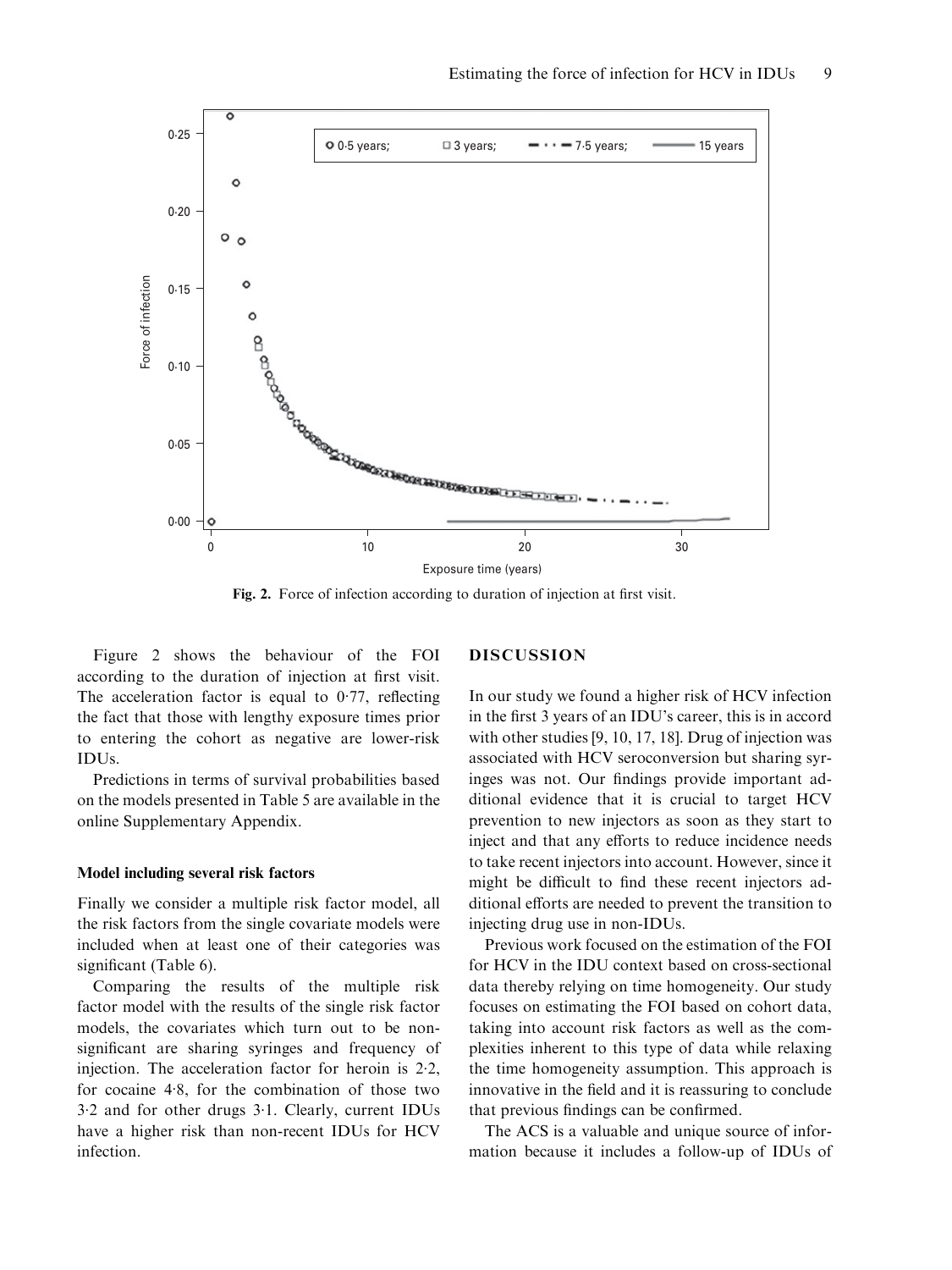

Fig. 2. Force of infection according to duration of injection at first visit.

Figure 2 shows the behaviour of the FOI according to the duration of injection at first visit. The acceleration factor is equal to 0.77, reflecting the fact that those with lengthy exposure times prior to entering the cohort as negative are lower-risk IDUs.

Predictions in terms of survival probabilities based on the models presented in Table 5 are available in the online Supplementary Appendix.

#### Model including several risk factors

Finally we consider a multiple risk factor model, all the risk factors from the single covariate models were included when at least one of their categories was significant (Table 6).

Comparing the results of the multiple risk factor model with the results of the single risk factor models, the covariates which turn out to be nonsignificant are sharing syringes and frequency of injection. The acceleration factor for heroin is 2. 2, for cocaine 4. 8, for the combination of those two 3. 2 and for other drugs 3. 1. Clearly, current IDUs have a higher risk than non-recent IDUs for HCV infection.

### DISCUSSION

In our study we found a higher risk of HCV infection in the first 3 years of an IDU's career, this is in accord with other studies [9, 10, 17, 18]. Drug of injection was associated with HCV seroconversion but sharing syringes was not. Our findings provide important additional evidence that it is crucial to target HCV prevention to new injectors as soon as they start to inject and that any efforts to reduce incidence needs to take recent injectors into account. However, since it might be difficult to find these recent injectors additional efforts are needed to prevent the transition to injecting drug use in non-IDUs.

Previous work focused on the estimation of the FOI for HCV in the IDU context based on cross-sectional data thereby relying on time homogeneity. Our study focuses on estimating the FOI based on cohort data, taking into account risk factors as well as the complexities inherent to this type of data while relaxing the time homogeneity assumption. This approach is innovative in the field and it is reassuring to conclude that previous findings can be confirmed.

The ACS is a valuable and unique source of information because it includes a follow-up of IDUs of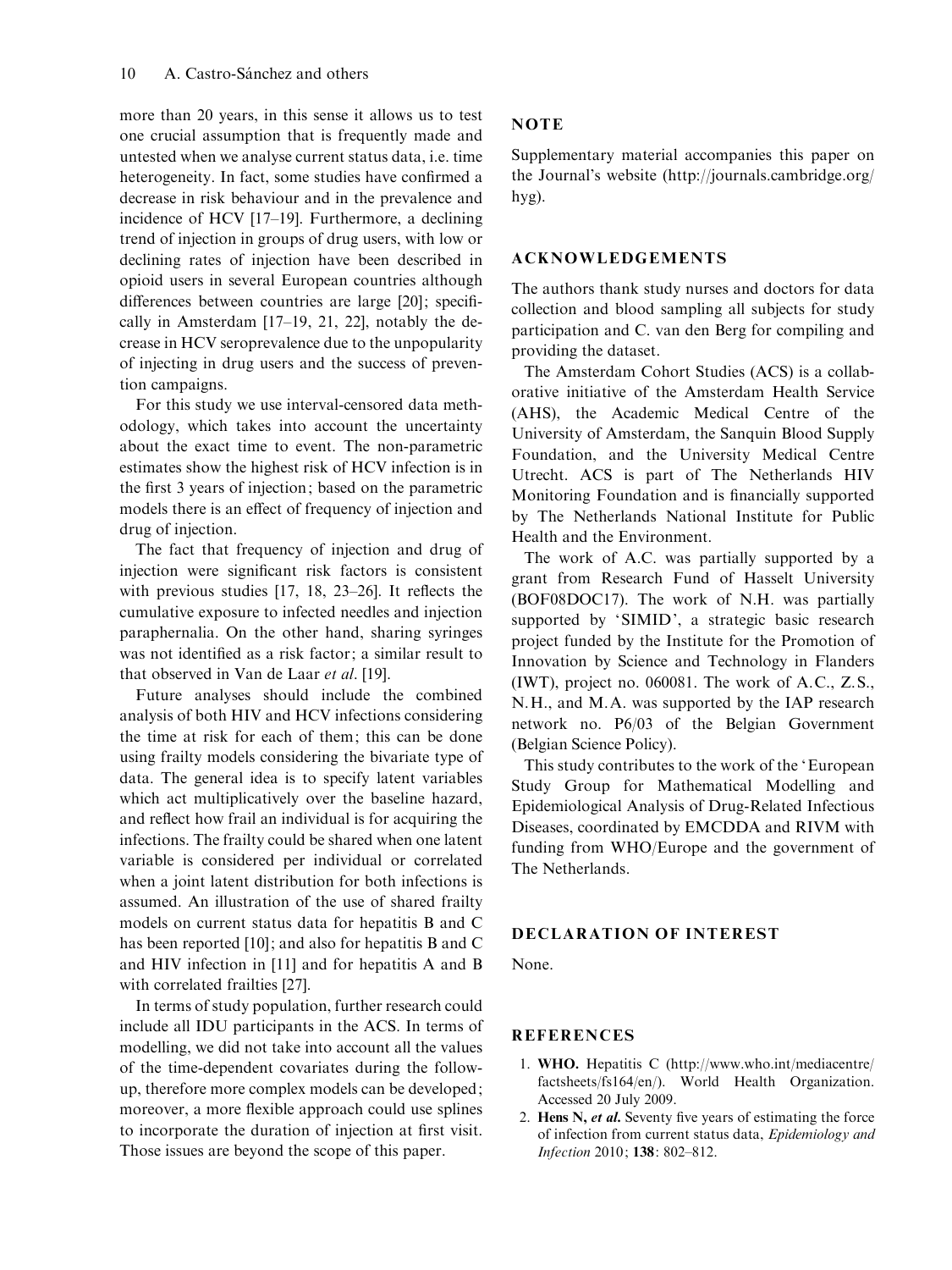more than 20 years, in this sense it allows us to test one crucial assumption that is frequently made and untested when we analyse current status data, i.e. time heterogeneity. In fact, some studies have confirmed a decrease in risk behaviour and in the prevalence and incidence of HCV [17–19]. Furthermore, a declining trend of injection in groups of drug users, with low or declining rates of injection have been described in opioid users in several European countries although differences between countries are large [20]; specifically in Amsterdam [17–19, 21, 22], notably the decrease in HCV seroprevalence due to the unpopularity of injecting in drug users and the success of prevention campaigns.

For this study we use interval-censored data methodology, which takes into account the uncertainty about the exact time to event. The non-parametric estimates show the highest risk of HCV infection is in the first 3 years of injection; based on the parametric models there is an effect of frequency of injection and drug of injection.

The fact that frequency of injection and drug of injection were significant risk factors is consistent with previous studies [17, 18, 23–26]. It reflects the cumulative exposure to infected needles and injection paraphernalia. On the other hand, sharing syringes was not identified as a risk factor; a similar result to that observed in Van de Laar et al. [19].

Future analyses should include the combined analysis of both HIV and HCV infections considering the time at risk for each of them; this can be done using frailty models considering the bivariate type of data. The general idea is to specify latent variables which act multiplicatively over the baseline hazard, and reflect how frail an individual is for acquiring the infections. The frailty could be shared when one latent variable is considered per individual or correlated when a joint latent distribution for both infections is assumed. An illustration of the use of shared frailty models on current status data for hepatitis B and C has been reported [10]; and also for hepatitis B and C and HIV infection in [11] and for hepatitis A and B with correlated frailties [27].

In terms of study population, further research could include all IDU participants in the ACS. In terms of modelling, we did not take into account all the values of the time-dependent covariates during the followup, therefore more complex models can be developed; moreover, a more flexible approach could use splines to incorporate the duration of injection at first visit. Those issues are beyond the scope of this paper.

### **NOTE**

Supplementary material accompanies this paper on the Journal's website (http://journals.cambridge.org/ hyg).

#### ACKNOWLEDGEMENTS

The authors thank study nurses and doctors for data collection and blood sampling all subjects for study participation and C. van den Berg for compiling and providing the dataset.

The Amsterdam Cohort Studies (ACS) is a collaborative initiative of the Amsterdam Health Service (AHS), the Academic Medical Centre of the University of Amsterdam, the Sanquin Blood Supply Foundation, and the University Medical Centre Utrecht. ACS is part of The Netherlands HIV Monitoring Foundation and is financially supported by The Netherlands National Institute for Public Health and the Environment.

The work of A.C. was partially supported by a grant from Research Fund of Hasselt University (BOF08DOC17). The work of N.H. was partially supported by 'SIMID', a strategic basic research project funded by the Institute for the Promotion of Innovation by Science and Technology in Flanders (IWT), project no. 060081. The work of A.C., Z.S., N.H., and M.A. was supported by the IAP research network no. P6/03 of the Belgian Government (Belgian Science Policy).

This study contributes to the work of the 'European Study Group for Mathematical Modelling and Epidemiological Analysis of Drug-Related Infectious Diseases, coordinated by EMCDDA and RIVM with funding from WHO/Europe and the government of The Netherlands.

# DECLARATION OF INTEREST

None.

### REFERENCES

- 1. WHO. Hepatitis C (http://www.who.int/mediacentre/ factsheets/fs164/en/). World Health Organization. Accessed 20 July 2009.
- 2. Hens N, et al. Seventy five years of estimating the force of infection from current status data, Epidemiology and Infection 2010; 138: 802–812.